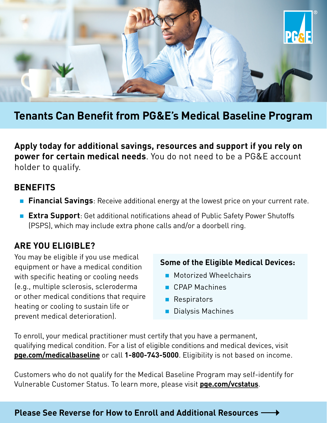

# **Tenants Can Benefit from PG&E's Medical Baseline Program**

**Apply today for additional savings, resources and support if you rely on power for certain medical needs**. You do not need to be a PG&E account holder to qualify.

#### **BENEFITS**

- **Financial Savings**: Receive additional energy at the lowest price on your current rate.
- **Extra Support**: Get additional notifications ahead of Public Safety Power Shutoffs (PSPS), which may include extra phone calls and/or a doorbell ring.

### **ARE YOU ELIGIBLE?**

You may be eligible if you use medical **Some of the Eligible Medical Devices:** equipment or have a medical condition with specific heating or cooling needs **Motorized Wheelchairs** (e.g., multiple sclerosis, scleroderma CPAP Machines or other medical conditions that require **Respirators** heating or cooling to sustain life or **Dialysis Machines** prevent medical deterioration).

- 
- 
- 
- 

To enroll, your medical practitioner must certify that you have a permanent, qualifying medical condition. For a list of eligible conditions and medical devices, visit **[pge.com/medicalbaseline](https://www.pge.com/en_US/residential/save-energy-money/help-paying-your-bill/longer-term-assistance/medical-condition-related/medical-baseline-allowance/medical-baseline-allowance.page?WT.mc_id=Vanity_medicalbaseline)** or call **1-800-743-5000**. Eligibility is not based on income.

Customers who do not qualify for the Medical Baseline Program may self-identify for Vulnerable Customer Status. To learn more, please visit **[pge.com/vcstatus](https://www.pge.com/en_US/residential/save-energy-money/help-paying-your-bill/longer-term-assistance/medical-condition-related/vulnerable-customer.page?WT.mc_id=Vanity_vcstatus)**.